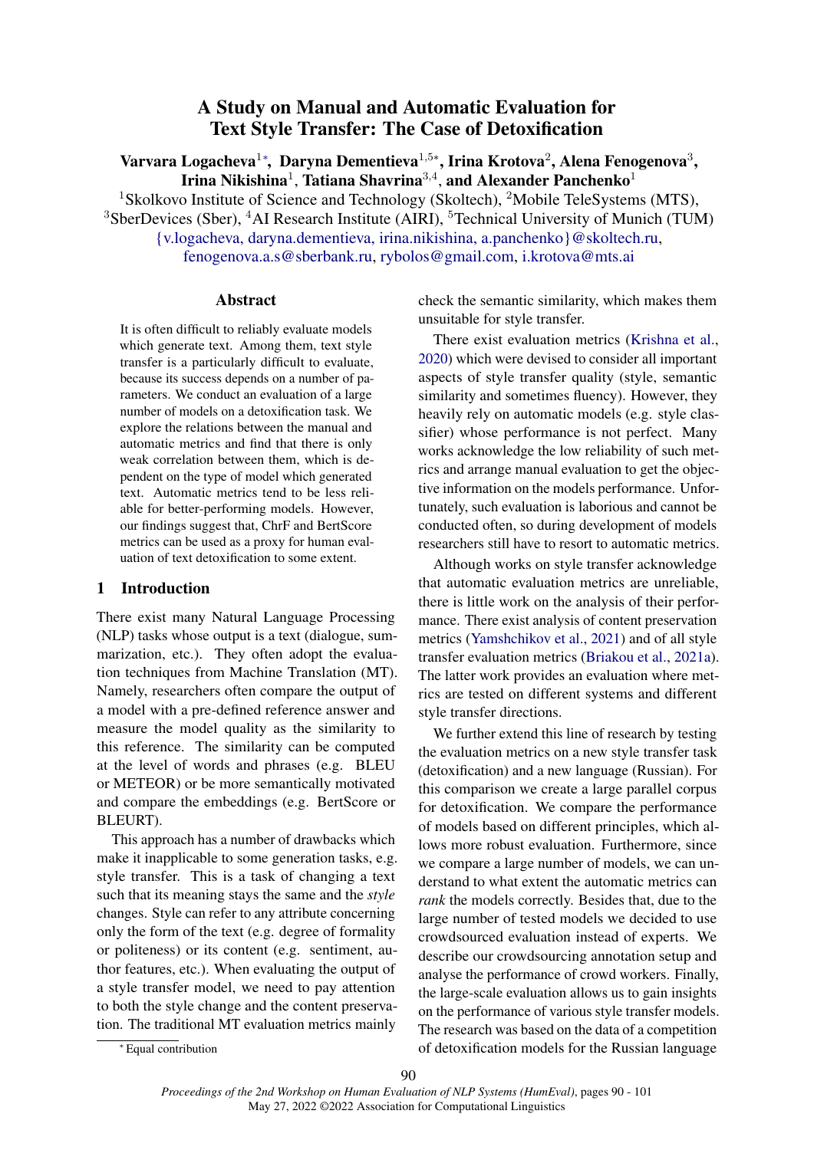# A Study on Manual and Automatic Evaluation for Text Style Transfer: The Case of Detoxification

<span id="page-0-0"></span>Varvara Logacheva<sup>1</sup>\*, Daryna Dementieva<sup>1,5</sup>\*, Irina Krotova<sup>2</sup>, Alena Fenogenova<sup>3</sup>, Irina Nikishina<sup>1</sup>, Tatiana Shavrina<sup>3,4</sup>, and Alexander Panchenko<sup>1</sup>

<sup>1</sup>Skolkovo Institute of Science and Technology (Skoltech), <sup>2</sup>Mobile TeleSystems (MTS),  $3$ SberDevices (Sber),  $4$ AI Research Institute (AIRI),  $5$ Technical University of Munich (TUM) [{v.logacheva, daryna.dementieva, irina.nikishina, a.panchenko}@skoltech.ru,](mailto:daryna.dementieva@skoltech.ru)

[fenogenova.a.s@sberbank.ru,](mailto:fenogenova.a.s@sberbank.ru) [rybolos@gmail.com,](mailto:rybolos@gmail.com) [i.krotova@mts.ai](mailto:i.krotova@mts.ai)

### Abstract

It is often difficult to reliably evaluate models which generate text. Among them, text style transfer is a particularly difficult to evaluate, because its success depends on a number of parameters. We conduct an evaluation of a large number of models on a detoxification task. We explore the relations between the manual and automatic metrics and find that there is only weak correlation between them, which is dependent on the type of model which generated text. Automatic metrics tend to be less reliable for better-performing models. However, our findings suggest that, ChrF and BertScore metrics can be used as a proxy for human evaluation of text detoxification to some extent.

### 1 Introduction

There exist many Natural Language Processing (NLP) tasks whose output is a text (dialogue, summarization, etc.). They often adopt the evaluation techniques from Machine Translation (MT). Namely, researchers often compare the output of a model with a pre-defined reference answer and measure the model quality as the similarity to this reference. The similarity can be computed at the level of words and phrases (e.g. BLEU or METEOR) or be more semantically motivated and compare the embeddings (e.g. BertScore or BLEURT).

This approach has a number of drawbacks which make it inapplicable to some generation tasks, e.g. style transfer. This is a task of changing a text such that its meaning stays the same and the *style* changes. Style can refer to any attribute concerning only the form of the text (e.g. degree of formality or politeness) or its content (e.g. sentiment, author features, etc.). When evaluating the output of a style transfer model, we need to pay attention to both the style change and the content preservation. The traditional MT evaluation metrics mainly

check the semantic similarity, which makes them unsuitable for style transfer.

There exist evaluation metrics [\(Krishna et al.,](#page-9-0) [2020\)](#page-9-0) which were devised to consider all important aspects of style transfer quality (style, semantic similarity and sometimes fluency). However, they heavily rely on automatic models (e.g. style classifier) whose performance is not perfect. Many works acknowledge the low reliability of such metrics and arrange manual evaluation to get the objective information on the models performance. Unfortunately, such evaluation is laborious and cannot be conducted often, so during development of models researchers still have to resort to automatic metrics.

Although works on style transfer acknowledge that automatic evaluation metrics are unreliable, there is little work on the analysis of their performance. There exist analysis of content preservation metrics [\(Yamshchikov et al.,](#page-11-0) [2021\)](#page-11-0) and of all style transfer evaluation metrics [\(Briakou et al.,](#page-9-1) [2021a\)](#page-9-1). The latter work provides an evaluation where metrics are tested on different systems and different style transfer directions.

We further extend this line of research by testing the evaluation metrics on a new style transfer task (detoxification) and a new language (Russian). For this comparison we create a large parallel corpus for detoxification. We compare the performance of models based on different principles, which allows more robust evaluation. Furthermore, since we compare a large number of models, we can understand to what extent the automatic metrics can *rank* the models correctly. Besides that, due to the large number of tested models we decided to use crowdsourced evaluation instead of experts. We describe our crowdsourcing annotation setup and analyse the performance of crowd workers. Finally, the large-scale evaluation allows us to gain insights on the performance of various style transfer models. The research was based on the data of a competition of detoxification models for the Russian language

<sup>∗</sup> Equal contribution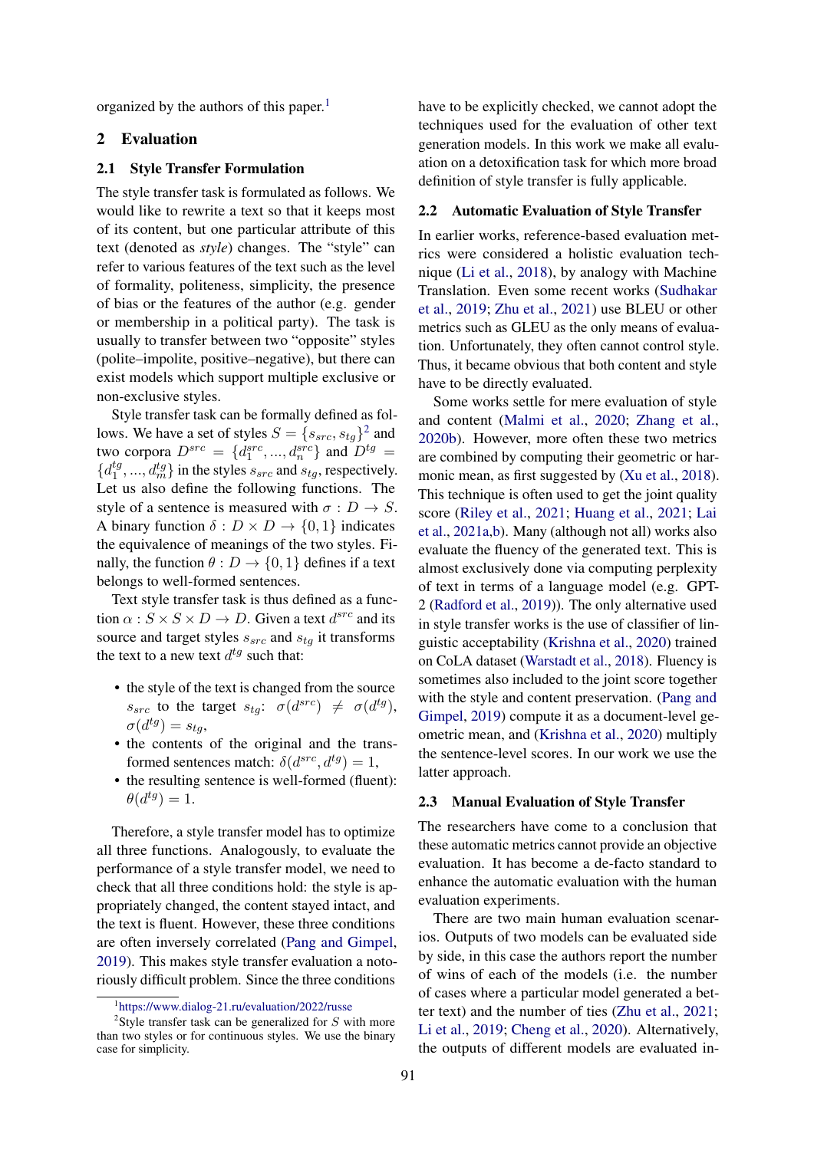organized by the authors of this paper.<sup>[1](#page-1-0)</sup>

### 2 Evaluation

#### 2.1 Style Transfer Formulation

The style transfer task is formulated as follows. We would like to rewrite a text so that it keeps most of its content, but one particular attribute of this text (denoted as *style*) changes. The "style" can refer to various features of the text such as the level of formality, politeness, simplicity, the presence of bias or the features of the author (e.g. gender or membership in a political party). The task is usually to transfer between two "opposite" styles (polite–impolite, positive–negative), but there can exist models which support multiple exclusive or non-exclusive styles.

Style transfer task can be formally defined as follows. We have a set of styles  $S = \{s_{src}, s_{tg}\}^2$  $S = \{s_{src}, s_{tg}\}^2$  and two corpora  $D^{src} = \{d_1^{src}, ..., d_n^{src}\}\$  and  $D^{tg} =$  ${d_1^{tg}}$  $\{a_1^{tg},...,a_m^{tg}\}\$  in the styles  $s_{src}$  and  $s_{tg}$ , respectively. Let us also define the following functions. The style of a sentence is measured with  $\sigma : D \to S$ . A binary function  $\delta : D \times D \to \{0, 1\}$  indicates the equivalence of meanings of the two styles. Finally, the function  $\theta : D \to \{0, 1\}$  defines if a text belongs to well-formed sentences.

Text style transfer task is thus defined as a function  $\alpha$  :  $S \times S \times D \rightarrow D$ . Given a text  $d^{src}$  and its source and target styles  $s_{src}$  and  $s_{ta}$  it transforms the text to a new text  $d^{tg}$  such that:

- the style of the text is changed from the source  $s_{src}$  to the target  $s_{tg}$ :  $\sigma(d^{src}) \neq \sigma(d^{tg})$ ,  $\sigma(d^{tg}) = s_{tg},$
- the contents of the original and the transformed sentences match:  $\delta(d^{src}, d^{tg}) = 1$ ,
- the resulting sentence is well-formed (fluent):  $\theta(d^{tg})=1.$

Therefore, a style transfer model has to optimize all three functions. Analogously, to evaluate the performance of a style transfer model, we need to check that all three conditions hold: the style is appropriately changed, the content stayed intact, and the text is fluent. However, these three conditions are often inversely correlated [\(Pang and Gimpel,](#page-10-0) [2019\)](#page-10-0). This makes style transfer evaluation a notoriously difficult problem. Since the three conditions

have to be explicitly checked, we cannot adopt the techniques used for the evaluation of other text generation models. In this work we make all evaluation on a detoxification task for which more broad definition of style transfer is fully applicable.

#### 2.2 Automatic Evaluation of Style Transfer

In earlier works, reference-based evaluation metrics were considered a holistic evaluation technique [\(Li et al.,](#page-10-1) [2018\)](#page-10-1), by analogy with Machine Translation. Even some recent works [\(Sudhakar](#page-10-2) [et al.,](#page-10-2) [2019;](#page-10-2) [Zhu et al.,](#page-11-1) [2021\)](#page-11-1) use BLEU or other metrics such as GLEU as the only means of evaluation. Unfortunately, they often cannot control style. Thus, it became obvious that both content and style have to be directly evaluated.

Some works settle for mere evaluation of style and content [\(Malmi et al.,](#page-10-3) [2020;](#page-10-3) [Zhang et al.,](#page-11-2) [2020b\)](#page-11-2). However, more often these two metrics are combined by computing their geometric or harmonic mean, as first suggested by [\(Xu et al.,](#page-11-3) [2018\)](#page-11-3). This technique is often used to get the joint quality score [\(Riley et al.,](#page-10-4) [2021;](#page-10-4) [Huang et al.,](#page-9-2) [2021;](#page-9-2) [Lai](#page-9-3) [et al.,](#page-9-3) [2021a,](#page-9-3)[b\)](#page-9-4). Many (although not all) works also evaluate the fluency of the generated text. This is almost exclusively done via computing perplexity of text in terms of a language model (e.g. GPT-2 [\(Radford et al.,](#page-10-5) [2019\)](#page-10-5)). The only alternative used in style transfer works is the use of classifier of linguistic acceptability [\(Krishna et al.,](#page-9-0) [2020\)](#page-9-0) trained on CoLA dataset [\(Warstadt et al.,](#page-11-4) [2018\)](#page-11-4). Fluency is sometimes also included to the joint score together with the style and content preservation. [\(Pang and](#page-10-0) [Gimpel,](#page-10-0) [2019\)](#page-10-0) compute it as a document-level geometric mean, and [\(Krishna et al.,](#page-9-0) [2020\)](#page-9-0) multiply the sentence-level scores. In our work we use the latter approach.

### 2.3 Manual Evaluation of Style Transfer

The researchers have come to a conclusion that these automatic metrics cannot provide an objective evaluation. It has become a de-facto standard to enhance the automatic evaluation with the human evaluation experiments.

There are two main human evaluation scenarios. Outputs of two models can be evaluated side by side, in this case the authors report the number of wins of each of the models (i.e. the number of cases where a particular model generated a better text) and the number of ties [\(Zhu et al.,](#page-11-1) [2021;](#page-11-1) [Li et al.,](#page-10-6) [2019;](#page-10-6) [Cheng et al.,](#page-9-5) [2020\)](#page-9-5). Alternatively, the outputs of different models are evaluated in-

<span id="page-1-1"></span><span id="page-1-0"></span><sup>1</sup> <https://www.dialog-21.ru/evaluation/2022/russe>

<sup>&</sup>lt;sup>2</sup>Style transfer task can be generalized for  $S$  with more than two styles or for continuous styles. We use the binary case for simplicity.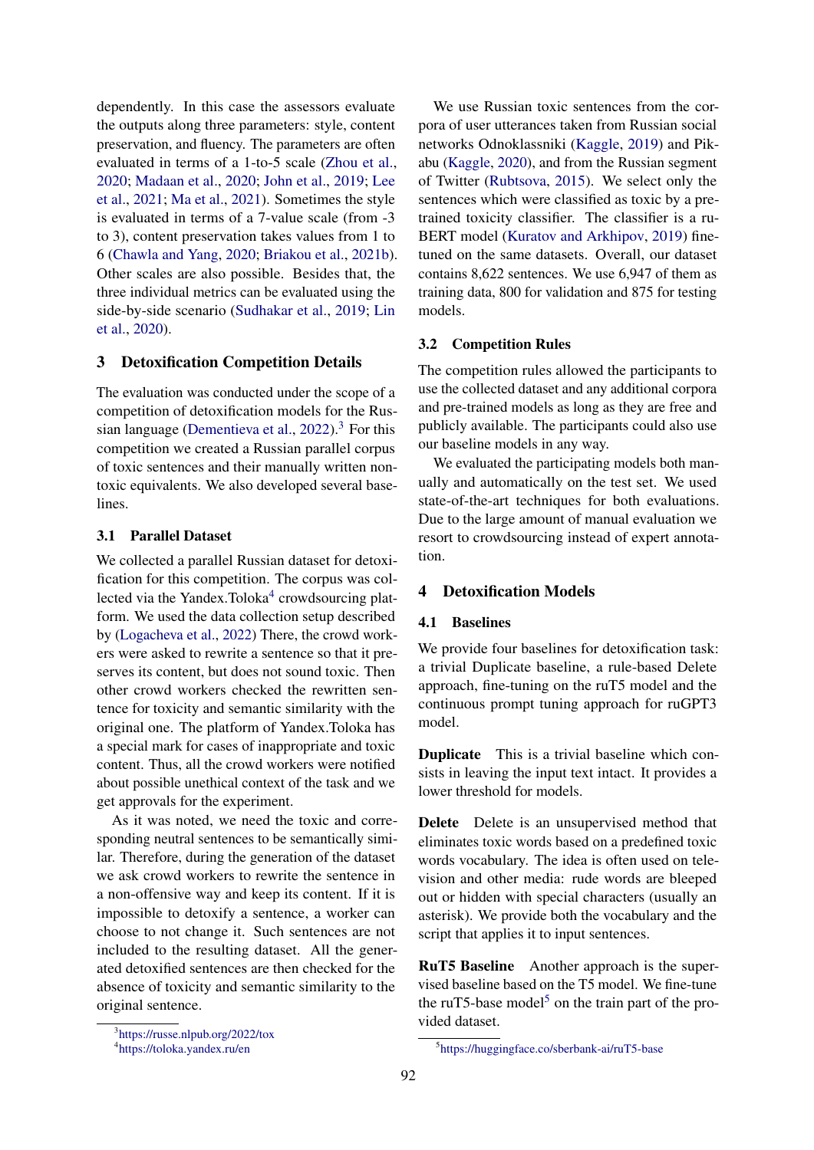dependently. In this case the assessors evaluate the outputs along three parameters: style, content preservation, and fluency. The parameters are often evaluated in terms of a 1-to-5 scale [\(Zhou et al.,](#page-11-5) [2020;](#page-11-5) [Madaan et al.,](#page-10-7) [2020;](#page-10-7) [John et al.,](#page-9-6) [2019;](#page-9-6) [Lee](#page-9-7) [et al.,](#page-9-7) [2021;](#page-9-7) [Ma et al.,](#page-10-8) [2021\)](#page-10-8). Sometimes the style is evaluated in terms of a 7-value scale (from -3 to 3), content preservation takes values from 1 to 6 [\(Chawla and Yang,](#page-9-8) [2020;](#page-9-8) [Briakou et al.,](#page-9-9) [2021b\)](#page-9-9). Other scales are also possible. Besides that, the three individual metrics can be evaluated using the side-by-side scenario [\(Sudhakar et al.,](#page-10-2) [2019;](#page-10-2) [Lin](#page-10-9) [et al.,](#page-10-9) [2020\)](#page-10-9).

### 3 Detoxification Competition Details

The evaluation was conducted under the scope of a competition of detoxification models for the Rus-sian language [\(Dementieva et al.,](#page-9-10)  $2022$ ).<sup>[3](#page-2-0)</sup> For this competition we created a Russian parallel corpus of toxic sentences and their manually written nontoxic equivalents. We also developed several baselines.

### <span id="page-2-3"></span>3.1 Parallel Dataset

We collected a parallel Russian dataset for detoxification for this competition. The corpus was col-lected via the Yandex.Toloka<sup>[4](#page-2-1)</sup> crowdsourcing platform. We used the data collection setup described by [\(Logacheva et al.,](#page-10-10) [2022\)](#page-10-10) There, the crowd workers were asked to rewrite a sentence so that it preserves its content, but does not sound toxic. Then other crowd workers checked the rewritten sentence for toxicity and semantic similarity with the original one. The platform of Yandex.Toloka has a special mark for cases of inappropriate and toxic content. Thus, all the crowd workers were notified about possible unethical context of the task and we get approvals for the experiment.

As it was noted, we need the toxic and corresponding neutral sentences to be semantically similar. Therefore, during the generation of the dataset we ask crowd workers to rewrite the sentence in a non-offensive way and keep its content. If it is impossible to detoxify a sentence, a worker can choose to not change it. Such sentences are not included to the resulting dataset. All the generated detoxified sentences are then checked for the absence of toxicity and semantic similarity to the original sentence.

We use Russian toxic sentences from the corpora of user utterances taken from Russian social networks Odnoklassniki [\(Kaggle,](#page-9-11) [2019\)](#page-9-11) and Pikabu [\(Kaggle,](#page-9-12) [2020\)](#page-9-12), and from the Russian segment of Twitter [\(Rubtsova,](#page-10-11) [2015\)](#page-10-11). We select only the sentences which were classified as toxic by a pretrained toxicity classifier. The classifier is a ru-BERT model [\(Kuratov and Arkhipov,](#page-9-13) [2019\)](#page-9-13) finetuned on the same datasets. Overall, our dataset contains 8,622 sentences. We use 6,947 of them as training data, 800 for validation and 875 for testing models.

#### 3.2 Competition Rules

The competition rules allowed the participants to use the collected dataset and any additional corpora and pre-trained models as long as they are free and publicly available. The participants could also use our baseline models in any way.

We evaluated the participating models both manually and automatically on the test set. We used state-of-the-art techniques for both evaluations. Due to the large amount of manual evaluation we resort to crowdsourcing instead of expert annotation.

# 4 Detoxification Models

### 4.1 Baselines

We provide four baselines for detoxification task: a trivial Duplicate baseline, a rule-based Delete approach, fine-tuning on the ruT5 model and the continuous prompt tuning approach for ruGPT3 model.

Duplicate This is a trivial baseline which consists in leaving the input text intact. It provides a lower threshold for models.

Delete Delete is an unsupervised method that eliminates toxic words based on a predefined toxic words vocabulary. The idea is often used on television and other media: rude words are bleeped out or hidden with special characters (usually an asterisk). We provide both the vocabulary and the script that applies it to input sentences.

RuT5 Baseline Another approach is the supervised baseline based on the T5 model. We fine-tune the ruT[5](#page-2-2)-base model<sup>5</sup> on the train part of the provided dataset.

<span id="page-2-0"></span><sup>3</sup> <https://russe.nlpub.org/2022/tox>

<span id="page-2-1"></span><sup>4</sup> <https://toloka.yandex.ru/en>

<span id="page-2-2"></span><sup>5</sup> <https://huggingface.co/sberbank-ai/ruT5-base>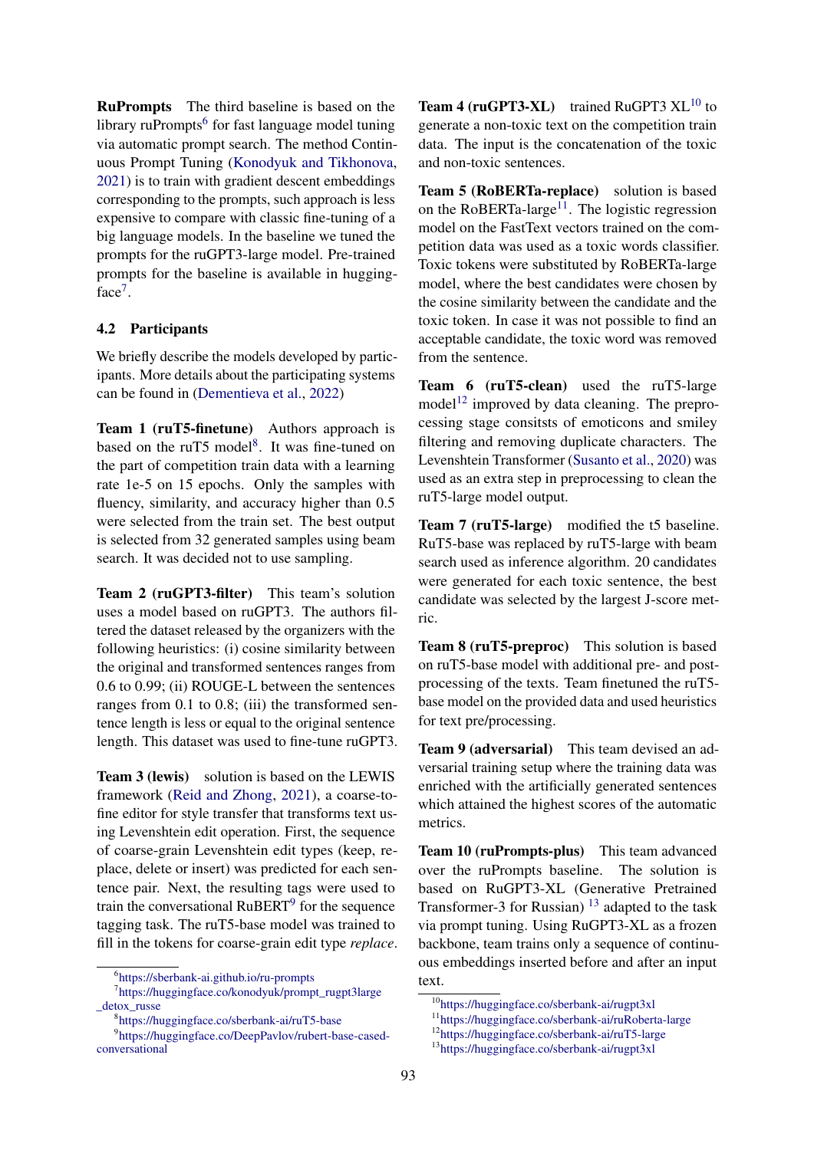RuPrompts The third baseline is based on the library ruPrompts<sup>[6](#page-3-0)</sup> for fast language model tuning via automatic prompt search. The method Continuous Prompt Tuning [\(Konodyuk and Tikhonova,](#page-9-14) [2021\)](#page-9-14) is to train with gradient descent embeddings corresponding to the prompts, such approach is less expensive to compare with classic fine-tuning of a big language models. In the baseline we tuned the prompts for the ruGPT3-large model. Pre-trained prompts for the baseline is available in hugging-face<sup>[7](#page-3-1)</sup>.

### 4.2 Participants

We briefly describe the models developed by participants. More details about the participating systems can be found in [\(Dementieva et al.,](#page-9-10) [2022\)](#page-9-10)

Team 1 (ruT5-finetune) Authors approach is based on the ruT5 model<sup>[8](#page-3-2)</sup>. It was fine-tuned on the part of competition train data with a learning rate 1e-5 on 15 epochs. Only the samples with fluency, similarity, and accuracy higher than 0.5 were selected from the train set. The best output is selected from 32 generated samples using beam search. It was decided not to use sampling.

Team 2 (ruGPT3-filter) This team's solution uses a model based on ruGPT3. The authors filtered the dataset released by the organizers with the following heuristics: (i) cosine similarity between the original and transformed sentences ranges from 0.6 to 0.99; (ii) ROUGE-L between the sentences ranges from 0.1 to 0.8; (iii) the transformed sentence length is less or equal to the original sentence length. This dataset was used to fine-tune ruGPT3.

Team 3 (lewis) solution is based on the LEWIS framework [\(Reid and Zhong,](#page-10-12) [2021\)](#page-10-12), a coarse-tofine editor for style transfer that transforms text using Levenshtein edit operation. First, the sequence of coarse-grain Levenshtein edit types (keep, replace, delete or insert) was predicted for each sentence pair. Next, the resulting tags were used to train the conversational RuBERT<sup>[9](#page-3-3)</sup> for the sequence tagging task. The ruT5-base model was trained to fill in the tokens for coarse-grain edit type *replace*. **Team 4 (ruGPT3-XL)** trained RuGPT3  $XL^{10}$  $XL^{10}$  $XL^{10}$  to generate a non-toxic text on the competition train data. The input is the concatenation of the toxic and non-toxic sentences.

Team 5 (RoBERTa-replace) solution is based on the RoBERTa-large<sup>[11](#page-3-5)</sup>. The logistic regression model on the FastText vectors trained on the competition data was used as a toxic words classifier. Toxic tokens were substituted by RoBERTa-large model, where the best candidates were chosen by the cosine similarity between the candidate and the toxic token. In case it was not possible to find an acceptable candidate, the toxic word was removed from the sentence.

Team 6 (ruT5-clean) used the ruT5-large model<sup>[12](#page-3-6)</sup> improved by data cleaning. The preprocessing stage consitsts of emoticons and smiley filtering and removing duplicate characters. The Levenshtein Transformer [\(Susanto et al.,](#page-10-13) [2020\)](#page-10-13) was used as an extra step in preprocessing to clean the ruT5-large model output.

Team 7 (ruT5-large) modified the t5 baseline. RuT5-base was replaced by ruT5-large with beam search used as inference algorithm. 20 candidates were generated for each toxic sentence, the best candidate was selected by the largest J-score metric.

Team 8 (ruT5-preproc) This solution is based on ruT5-base model with additional pre- and postprocessing of the texts. Team finetuned the ruT5 base model on the provided data and used heuristics for text pre/processing.

Team 9 (adversarial) This team devised an adversarial training setup where the training data was enriched with the artificially generated sentences which attained the highest scores of the automatic metrics.

Team 10 (ruPrompts-plus) This team advanced over the ruPrompts baseline. The solution is based on RuGPT3-XL (Generative Pretrained Transformer-3 for Russian)  $^{13}$  $^{13}$  $^{13}$  adapted to the task via prompt tuning. Using RuGPT3-XL as a frozen backbone, team trains only a sequence of continuous embeddings inserted before and after an input text.

<span id="page-3-1"></span><span id="page-3-0"></span><sup>6</sup> <https://sberbank-ai.github.io/ru-prompts>

<sup>7</sup> [https://huggingface.co/konodyuk/prompt\\_rugpt3large](https://huggingface.co/konodyuk/prompt_rugpt3large_detox_russe) [\\_detox\\_russe](https://huggingface.co/konodyuk/prompt_rugpt3large_detox_russe)

<span id="page-3-3"></span><span id="page-3-2"></span><sup>8</sup> <https://huggingface.co/sberbank-ai/ruT5-base>

<sup>9</sup> [https://huggingface.co/DeepPavlov/rubert-base-cased](https://huggingface.co/DeepPavlov/rubert-base-cased-conversational)[conversational](https://huggingface.co/DeepPavlov/rubert-base-cased-conversational)

<span id="page-3-4"></span><sup>10</sup><https://huggingface.co/sberbank-ai/rugpt3xl>

<span id="page-3-5"></span><sup>11</sup><https://huggingface.co/sberbank-ai/ruRoberta-large>

<span id="page-3-6"></span><sup>12</sup><https://huggingface.co/sberbank-ai/ruT5-large>

<span id="page-3-7"></span><sup>13</sup><https://huggingface.co/sberbank-ai/rugpt3xl>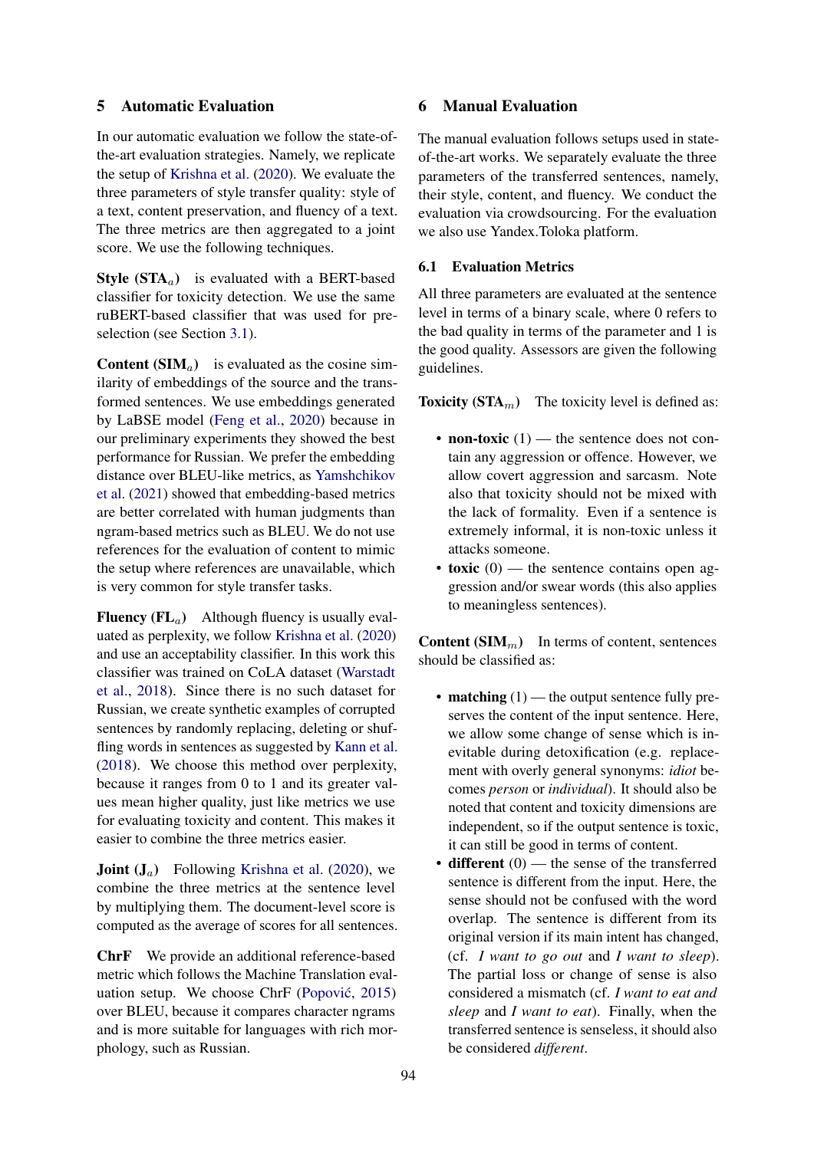### 5 Automatic Evaluation

In our automatic evaluation we follow the state-ofthe-art evaluation strategies. Namely, we replicate the setup of [Krishna et al.](#page-9-0) [\(2020\)](#page-9-0). We evaluate the three parameters of style transfer quality: style of a text, content preservation, and fluency of a text. The three metrics are then aggregated to a joint score. We use the following techniques.

**Style (STA**<sub>a</sub>) is evaluated with a BERT-based classifier for toxicity detection. We use the same ruBERT-based classifier that was used for preselection (see Section [3.1\)](#page-2-3).

**Content (SIM** $_{a}$ ) is evaluated as the cosine similarity of embeddings of the source and the transformed sentences. We use embeddings generated by LaBSE model [\(Feng et al.,](#page-9-15) [2020\)](#page-9-15) because in our preliminary experiments they showed the best performance for Russian. We prefer the embedding distance over BLEU-like metrics, as [Yamshchikov](#page-11-0) [et al.](#page-11-0) [\(2021\)](#page-11-0) showed that embedding-based metrics are better correlated with human judgments than ngram-based metrics such as BLEU. We do not use references for the evaluation of content to mimic the setup where references are unavailable, which is very common for style transfer tasks.

**Fluency (FL**<sub>a</sub>) Although fluency is usually evaluated as perplexity, we follow [Krishna et al.](#page-9-0) [\(2020\)](#page-9-0) and use an acceptability classifier. In this work this classifier was trained on CoLA dataset [\(Warstadt](#page-11-4) [et al.,](#page-11-4) [2018\)](#page-11-4). Since there is no such dataset for Russian, we create synthetic examples of corrupted sentences by randomly replacing, deleting or shuffling words in sentences as suggested by [Kann et al.](#page-9-16) [\(2018\)](#page-9-16). We choose this method over perplexity, because it ranges from 0 to 1 and its greater values mean higher quality, just like metrics we use for evaluating toxicity and content. This makes it easier to combine the three metrics easier.

**Joint**  $(J_a)$  Following [Krishna et al.](#page-9-0) [\(2020\)](#page-9-0), we combine the three metrics at the sentence level by multiplying them. The document-level score is computed as the average of scores for all sentences.

ChrF We provide an additional reference-based metric which follows the Machine Translation eval-uation setup. We choose ChrF (Popović, [2015\)](#page-10-14) over BLEU, because it compares character ngrams and is more suitable for languages with rich morphology, such as Russian.

# 6 Manual Evaluation

The manual evaluation follows setups used in stateof-the-art works. We separately evaluate the three parameters of the transferred sentences, namely, their style, content, and fluency. We conduct the evaluation via crowdsourcing. For the evaluation we also use Yandex.Toloka platform.

### 6.1 Evaluation Metrics

All three parameters are evaluated at the sentence level in terms of a binary scale, where 0 refers to the bad quality in terms of the parameter and 1 is the good quality. Assessors are given the following guidelines.

**Toxicity (STA**<sub>m</sub>) The toxicity level is defined as:

- non-toxic  $(1)$  the sentence does not contain any aggression or offence. However, we allow covert aggression and sarcasm. Note also that toxicity should not be mixed with the lack of formality. Even if a sentence is extremely informal, it is non-toxic unless it attacks someone.
- toxic  $(0)$  the sentence contains open aggression and/or swear words (this also applies to meaningless sentences).

**Content (SIM<sub>m</sub>)** In terms of content, sentences should be classified as:

- **matching**  $(1)$  the output sentence fully preserves the content of the input sentence. Here, we allow some change of sense which is inevitable during detoxification (e.g. replacement with overly general synonyms: *idiot* becomes *person* or *individual*). It should also be noted that content and toxicity dimensions are independent, so if the output sentence is toxic, it can still be good in terms of content.
- $\bullet$  different  $(0)$  the sense of the transferred sentence is different from the input. Here, the sense should not be confused with the word overlap. The sentence is different from its original version if its main intent has changed, (cf. *I want to go out* and *I want to sleep*). The partial loss or change of sense is also considered a mismatch (cf. *I want to eat and sleep* and *I want to eat*). Finally, when the transferred sentence is senseless, it should also be considered *different*.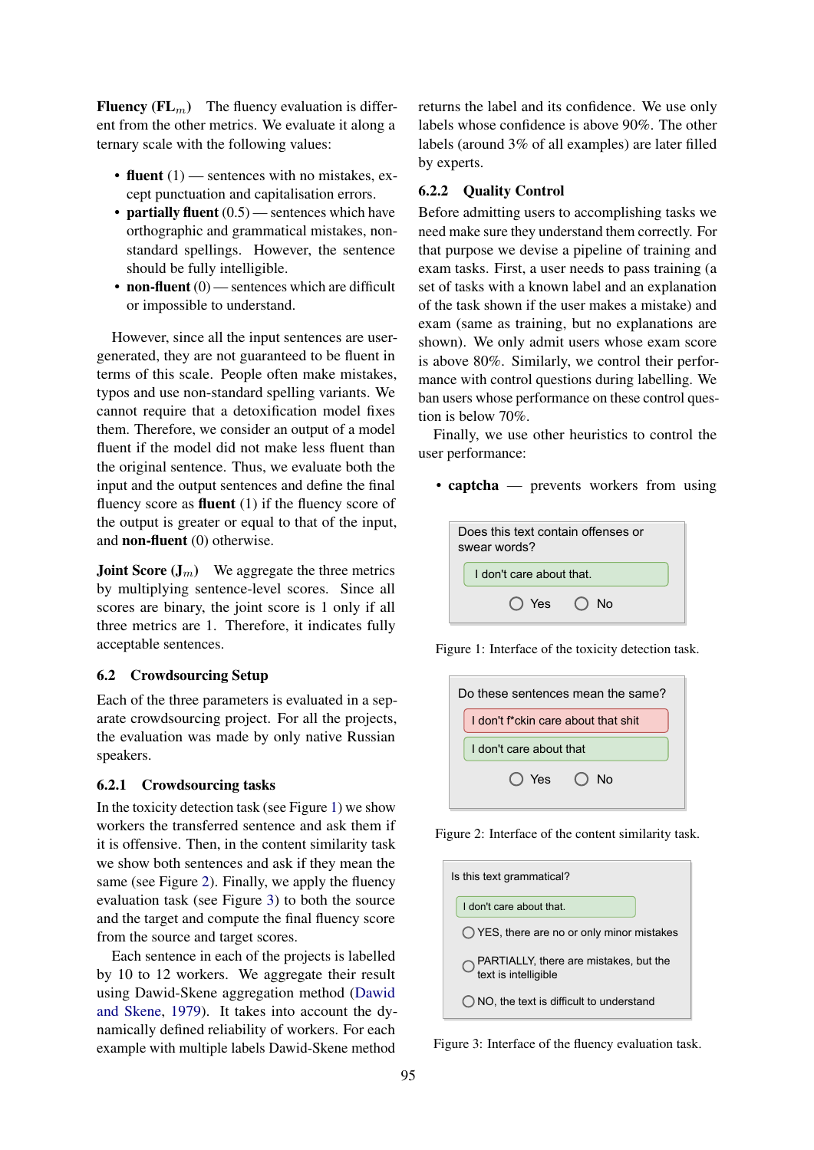**Fluency (FL<sub>m</sub>)** The fluency evaluation is different from the other metrics. We evaluate it along a ternary scale with the following values:

- fluent  $(1)$  sentences with no mistakes, except punctuation and capitalisation errors.
- partially fluent  $(0.5)$  sentences which have orthographic and grammatical mistakes, nonstandard spellings. However, the sentence should be fully intelligible.
- non-fluent  $(0)$  sentences which are difficult or impossible to understand.

However, since all the input sentences are usergenerated, they are not guaranteed to be fluent in terms of this scale. People often make mistakes, typos and use non-standard spelling variants. We cannot require that a detoxification model fixes them. Therefore, we consider an output of a model fluent if the model did not make less fluent than the original sentence. Thus, we evaluate both the input and the output sentences and define the final fluency score as **fluent**  $(1)$  if the fluency score of the output is greater or equal to that of the input, and non-fluent (0) otherwise.

**Joint Score**  $(J_m)$  We aggregate the three metrics by multiplying sentence-level scores. Since all scores are binary, the joint score is 1 only if all three metrics are 1. Therefore, it indicates fully acceptable sentences.

#### 6.2 Crowdsourcing Setup

Each of the three parameters is evaluated in a separate crowdsourcing project. For all the projects, the evaluation was made by only native Russian speakers.

### 6.2.1 Crowdsourcing tasks

In the toxicity detection task (see Figure [1\)](#page-5-0) we show workers the transferred sentence and ask them if it is offensive. Then, in the content similarity task we show both sentences and ask if they mean the same (see Figure [2\)](#page-5-1). Finally, we apply the fluency evaluation task (see Figure [3\)](#page-5-2) to both the source and the target and compute the final fluency score from the source and target scores.

Each sentence in each of the projects is labelled by 10 to 12 workers. We aggregate their result using Dawid-Skene aggregation method [\(Dawid](#page-9-17) [and Skene,](#page-9-17) [1979\)](#page-9-17). It takes into account the dynamically defined reliability of workers. For each example with multiple labels Dawid-Skene method

returns the label and its confidence. We use only labels whose confidence is above 90%. The other labels (around 3% of all examples) are later filled by experts.

#### 6.2.2 Quality Control

Before admitting users to accomplishing tasks we need make sure they understand them correctly. For that purpose we devise a pipeline of training and exam tasks. First, a user needs to pass training (a set of tasks with a known label and an explanation of the task shown if the user makes a mistake) and exam (same as training, but no explanations are shown). We only admit users whose exam score is above 80%. Similarly, we control their performance with control questions during labelling. We ban users whose performance on these control question is below 70%.

Finally, we use other heuristics to control the user performance:

• captcha — prevents workers from using

<span id="page-5-0"></span>

| Does this text contain offenses or<br>swear words? |  |  |  |
|----------------------------------------------------|--|--|--|
| I don't care about that.                           |  |  |  |
| $\bigcap$ Yes $\bigcap$ No                         |  |  |  |

<span id="page-5-1"></span>Figure 1: Interface of the toxicity detection task.

| Do these sentences mean the same?   |  |  |  |  |
|-------------------------------------|--|--|--|--|
| I don't f*ckin care about that shit |  |  |  |  |
| I don't care about that             |  |  |  |  |
| $O$ Yes $O$ No                      |  |  |  |  |

<span id="page-5-2"></span>Figure 2: Interface of the content similarity task.

| Is this text grammatical?                                              |
|------------------------------------------------------------------------|
| I don't care about that                                                |
| ◯ YES, there are no or only minor mistakes                             |
| $\bigcirc$ PARTIALLY, there are mistakes, but the text is intelligible |
| () NO, the text is difficult to understand                             |

Figure 3: Interface of the fluency evaluation task.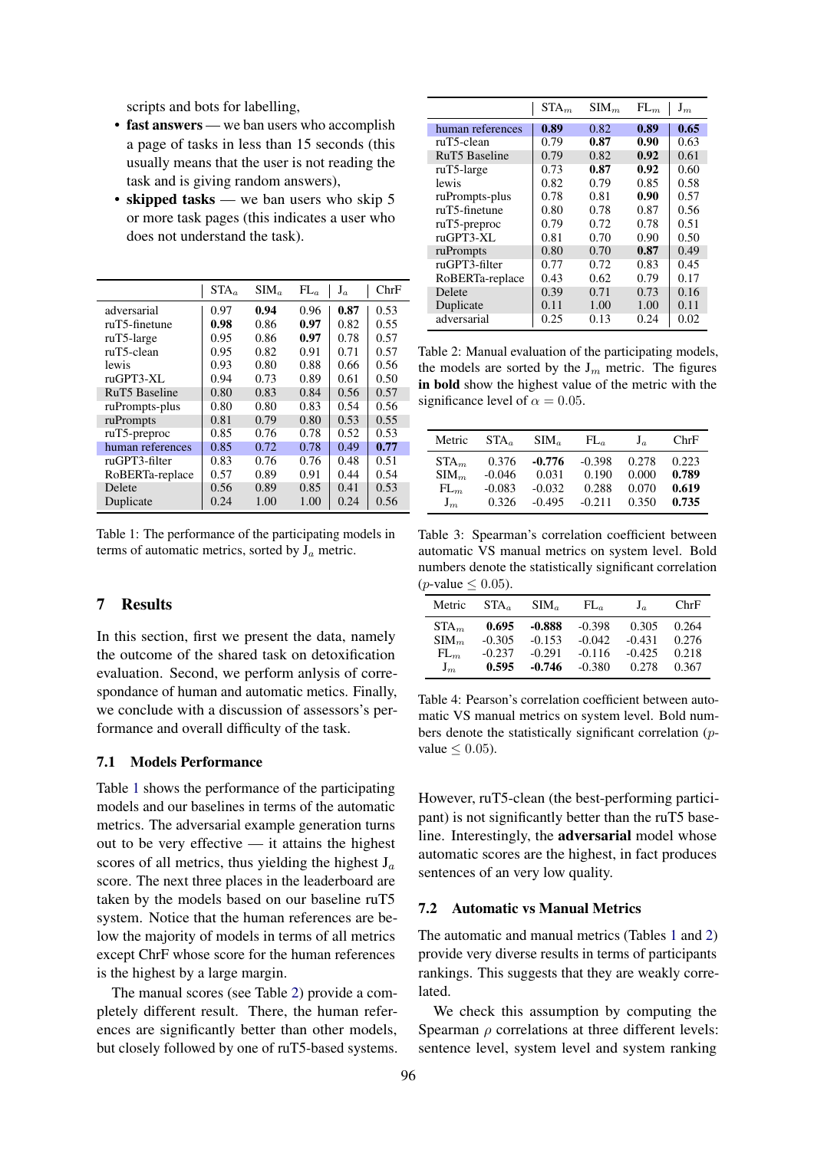scripts and bots for labelling,

- fast answers we ban users who accomplish a page of tasks in less than 15 seconds (this usually means that the user is not reading the task and is giving random answers),
- skipped tasks we ban users who skip 5 or more task pages (this indicates a user who does not understand the task).

<span id="page-6-0"></span>

|                      | $STA_a$ | $SIM_a$ | $FL_a$ | $J_a$ | ChrF |
|----------------------|---------|---------|--------|-------|------|
| adversarial          | 0.97    | 0.94    | 0.96   | 0.87  | 0.53 |
| $ruT5$ -finetune     | 0.98    | 0.86    | 0.97   | 0.82  | 0.55 |
| $ruT5$ -large        | 0.95    | 0.86    | 0.97   | 0.78  | 0.57 |
| ruT5-clean           | 0.95    | 0.82    | 0.91   | 0.71  | 0.57 |
| lewis                | 0.93    | 0.80    | 0.88   | 0.66  | 0.56 |
| ruGPT3-XL            | 0.94    | 0.73    | 0.89   | 0.61  | 0.50 |
| <b>RuT5</b> Baseline | 0.80    | 0.83    | 0.84   | 0.56  | 0.57 |
| ruPrompts-plus       | 0.80    | 0.80    | 0.83   | 0.54  | 0.56 |
| ruPrompts            | 0.81    | 0.79    | 0.80   | 0.53  | 0.55 |
| $ruT5$ -preproc      | 0.85    | 0.76    | 0.78   | 0.52  | 0.53 |
| human references     | 0.85    | 0.72    | 0.78   | 0.49  | 0.77 |
| ruGPT3-filter        | 0.83    | 0.76    | 0.76   | 0.48  | 0.51 |
| RoBERTa-replace      | 0.57    | 0.89    | 0.91   | 0.44  | 0.54 |
| Delete               | 0.56    | 0.89    | 0.85   | 0.41  | 0.53 |
| Duplicate            | 0.24    | 1.00    | 1.00   | 0.24  | 0.56 |

Table 1: The performance of the participating models in terms of automatic metrics, sorted by  $J_a$  metric.

### 7 Results

In this section, first we present the data, namely the outcome of the shared task on detoxification evaluation. Second, we perform anlysis of correspondance of human and automatic metics. Finally, we conclude with a discussion of assessors's performance and overall difficulty of the task.

#### 7.1 Models Performance

Table [1](#page-6-0) shows the performance of the participating models and our baselines in terms of the automatic metrics. The adversarial example generation turns out to be very effective — it attains the highest scores of all metrics, thus yielding the highest  $J_a$ score. The next three places in the leaderboard are taken by the models based on our baseline ruT5 system. Notice that the human references are below the majority of models in terms of all metrics except ChrF whose score for the human references is the highest by a large margin.

The manual scores (see Table [2\)](#page-6-1) provide a completely different result. There, the human references are significantly better than other models, but closely followed by one of ruT5-based systems.

<span id="page-6-1"></span>

|                      | STA <sub>m</sub> | SIM <sub>m</sub> | $FL_m$ | ${\bf J}_m$ |
|----------------------|------------------|------------------|--------|-------------|
| human references     | 0.89             | 0.82             | 0.89   | 0.65        |
| ruT5-clean           | 0.79             | 0.87             | 0.90   | 0.63        |
| <b>RuT5</b> Baseline | 0.79             | 0.82             | 0.92   | 0.61        |
| $ruT5$ -large        | 0.73             | 0.87             | 0.92   | 0.60        |
| lewis                | 0.82             | 0.79             | 0.85   | 0.58        |
| ruPrompts-plus       | 0.78             | 0.81             | 0.90   | 0.57        |
| ruT5-finetune        | 0.80             | 0.78             | 0.87   | 0.56        |
| $ruT5$ -preproc      | 0.79             | 0.72             | 0.78   | 0.51        |
| ruGPT3-XL            | 0.81             | 0.70             | 0.90   | 0.50        |
| ruPrompts            | 0.80             | 0.70             | 0.87   | 0.49        |
| ruGPT3-filter        | 0.77             | 0.72             | 0.83   | 0.45        |
| RoBERTa-replace      | 0.43             | 0.62             | 0.79   | 0.17        |
| Delete               | 0.39             | 0.71             | 0.73   | 0.16        |
| Duplicate            | 0.11             | 1.00             | 1.00   | 0.11        |
| adversarial          | 0.25             | 0.13             | 0.24   | 0.02        |

Table 2: Manual evaluation of the participating models, the models are sorted by the  $J_m$  metric. The figures in bold show the highest value of the metric with the significance level of  $\alpha = 0.05$ .

<span id="page-6-2"></span>

| Metric           | $STA_{\alpha}$ | $SIM_{a}$ | $FL_a$   | $J_a$ | ChrF  |
|------------------|----------------|-----------|----------|-------|-------|
| STA <sub>m</sub> | 0.376          | $-0.776$  | $-0.398$ | 0.278 | 0.223 |
| SIM <sub>m</sub> | $-0.046$       | 0.031     | 0.190    | 0.000 | 0.789 |
| $FL_m$           | $-0.083$       | $-0.032$  | 0.288    | 0.070 | 0.619 |
| $J_m$            | 0.326          | $-0.495$  | $-0.211$ | 0.350 | 0.735 |

Table 3: Spearman's correlation coefficient between automatic VS manual metrics on system level. Bold numbers denote the statistically significant correlation (*p*-value  $\leq$  0.05).

| Metric           | $STA_{\alpha}$ | $SIM_{a}$ | $FL_a$   | $J_a$    | ChrF  |
|------------------|----------------|-----------|----------|----------|-------|
| STA <sub>m</sub> | 0.695          | $-0.888$  | $-0.398$ | 0.305    | 0.264 |
| SIM <sub>m</sub> | $-0.305$       | $-0.153$  | $-0.042$ | $-0.431$ | 0.276 |
| $FL_m$           | $-0.237$       | $-0.291$  | $-0.116$ | $-0.425$ | 0.218 |
| $J_m$            | 0.595          | $-0.746$  | $-0.380$ | 0.278    | 0.367 |

Table 4: Pearson's correlation coefficient between automatic VS manual metrics on system level. Bold numbers denote the statistically significant correlation (pvalue  $\leq 0.05$ ).

However, ruT5-clean (the best-performing participant) is not significantly better than the ruT5 baseline. Interestingly, the adversarial model whose automatic scores are the highest, in fact produces sentences of an very low quality.

#### 7.2 Automatic vs Manual Metrics

The automatic and manual metrics (Tables [1](#page-6-0) and [2\)](#page-6-1) provide very diverse results in terms of participants rankings. This suggests that they are weakly correlated.

We check this assumption by computing the Spearman  $\rho$  correlations at three different levels: sentence level, system level and system ranking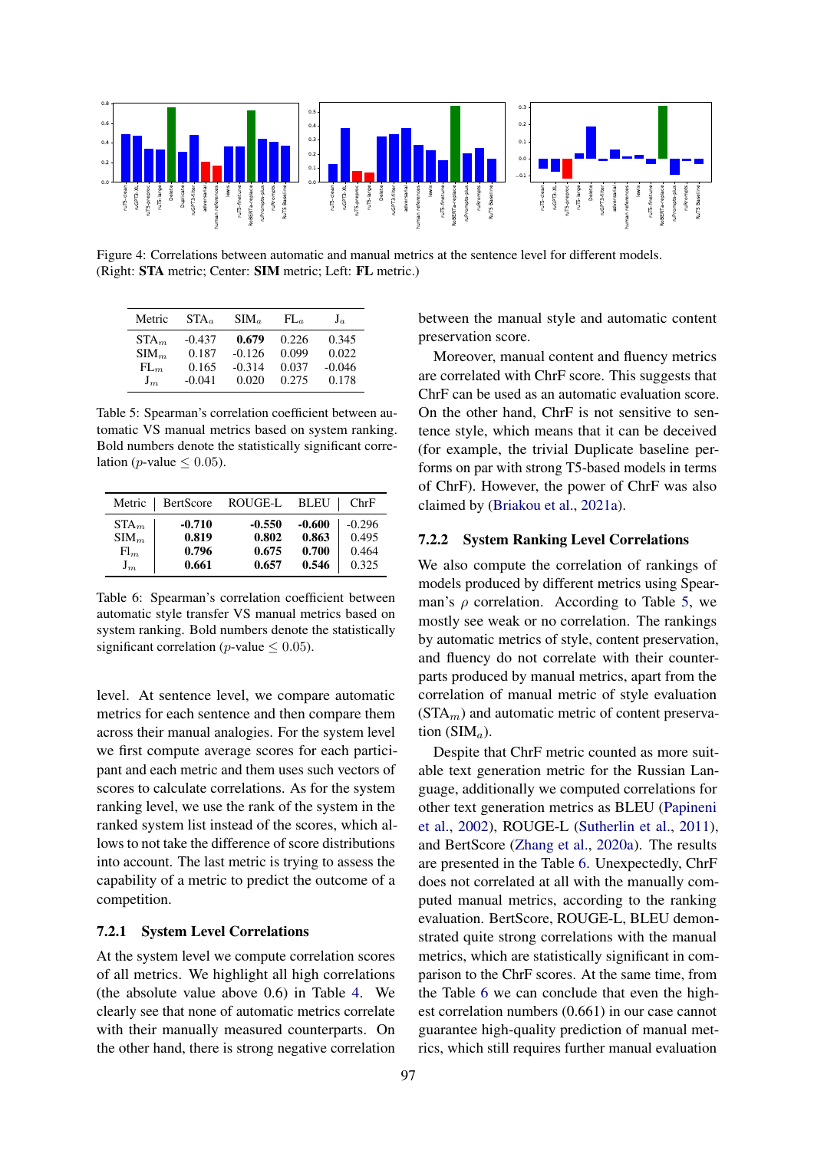<span id="page-7-1"></span>

Figure 4: Correlations between automatic and manual metrics at the sentence level for different models. (Right: STA metric; Center: SIM metric; Left: FL metric.)

<span id="page-7-0"></span>

| Metric           | $STA_a$  | $SIM_a$  | $FL_a$ | $J_a$    |
|------------------|----------|----------|--------|----------|
| STA <sub>m</sub> | $-0.437$ | 0.679    | 0.226  | 0.345    |
| SIM <sub>m</sub> | 0.187    | $-0.126$ | 0.099  | 0.022    |
| $FL_m$           | 0.165    | $-0.314$ | 0.037  | $-0.046$ |
| $J_m$            | $-0.041$ | 0.020    | 0.275  | 0.178    |

Table 5: Spearman's correlation coefficient between automatic VS manual metrics based on system ranking. Bold numbers denote the statistically significant correlation (*p*-value  $\leq$  0.05).

| Metric           | BertScore | ROUGE-L  | <b>BLEU</b> | ChrF     |
|------------------|-----------|----------|-------------|----------|
| STA <sub>m</sub> | $-0.710$  | $-0.550$ | $-0.600$    | $-0.296$ |
| SIM <sub>m</sub> | 0.819     | 0.802    | 0.863       | 0.495    |
| $\mathrm{Fl}_m$  | 0.796     | 0.675    | 0.700       | 0.464    |
| $J_m$            | 0.661     | 0.657    | 0.546       | 0.325    |

Table 6: Spearman's correlation coefficient between automatic style transfer VS manual metrics based on system ranking. Bold numbers denote the statistically significant correlation (*p*-value  $\leq$  0.05).

level. At sentence level, we compare automatic metrics for each sentence and then compare them across their manual analogies. For the system level we first compute average scores for each participant and each metric and them uses such vectors of scores to calculate correlations. As for the system ranking level, we use the rank of the system in the ranked system list instead of the scores, which allows to not take the difference of score distributions into account. The last metric is trying to assess the capability of a metric to predict the outcome of a competition.

### 7.2.1 System Level Correlations

At the system level we compute correlation scores of all metrics. We highlight all high correlations (the absolute value above 0.6) in Table [4.](#page-6-2) We clearly see that none of automatic metrics correlate with their manually measured counterparts. On the other hand, there is strong negative correlation between the manual style and automatic content preservation score.

Moreover, manual content and fluency metrics are correlated with ChrF score. This suggests that ChrF can be used as an automatic evaluation score. On the other hand, ChrF is not sensitive to sentence style, which means that it can be deceived (for example, the trivial Duplicate baseline performs on par with strong T5-based models in terms of ChrF). However, the power of ChrF was also claimed by [\(Briakou et al.,](#page-9-1) [2021a\)](#page-9-1).

### 7.2.2 System Ranking Level Correlations

We also compute the correlation of rankings of models produced by different metrics using Spearman's  $\rho$  correlation. According to Table [5,](#page-7-0) we mostly see weak or no correlation. The rankings by automatic metrics of style, content preservation, and fluency do not correlate with their counterparts produced by manual metrics, apart from the correlation of manual metric of style evaluation  $(STA<sub>m</sub>)$  and automatic metric of content preservation  $(SIM_a)$ .

Despite that ChrF metric counted as more suitable text generation metric for the Russian Language, additionally we computed correlations for other text generation metrics as BLEU [\(Papineni](#page-10-15) [et al.,](#page-10-15) [2002\)](#page-10-15), ROUGE-L [\(Sutherlin et al.,](#page-10-16) [2011\)](#page-10-16), and BertScore [\(Zhang et al.,](#page-11-6) [2020a\)](#page-11-6). The results are presented in the Table [6.](#page-7-0) Unexpectedly, ChrF does not correlated at all with the manually computed manual metrics, according to the ranking evaluation. BertScore, ROUGE-L, BLEU demonstrated quite strong correlations with the manual metrics, which are statistically significant in comparison to the ChrF scores. At the same time, from the Table [6](#page-7-0) we can conclude that even the highest correlation numbers (0.661) in our case cannot guarantee high-quality prediction of manual metrics, which still requires further manual evaluation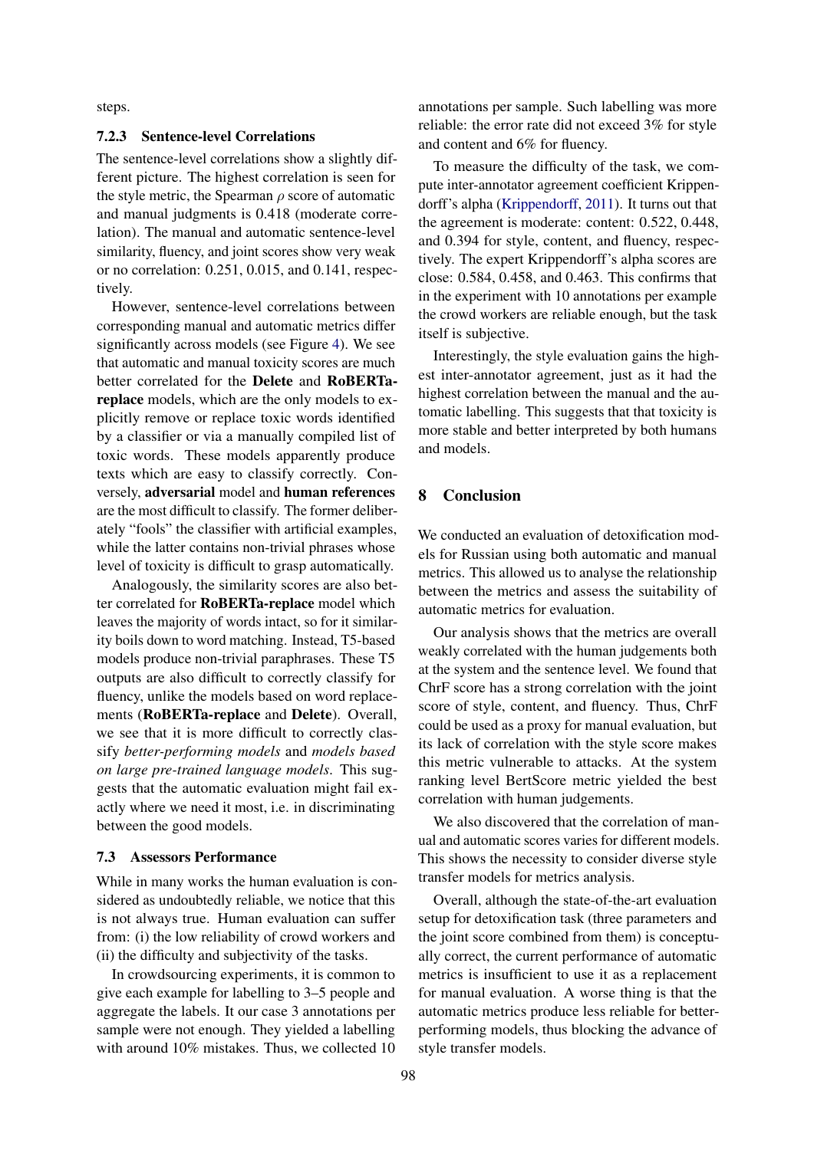steps.

#### 7.2.3 Sentence-level Correlations

The sentence-level correlations show a slightly different picture. The highest correlation is seen for the style metric, the Spearman  $\rho$  score of automatic and manual judgments is 0.418 (moderate correlation). The manual and automatic sentence-level similarity, fluency, and joint scores show very weak or no correlation: 0.251, 0.015, and 0.141, respectively.

However, sentence-level correlations between corresponding manual and automatic metrics differ significantly across models (see Figure [4\)](#page-7-1). We see that automatic and manual toxicity scores are much better correlated for the Delete and RoBERTareplace models, which are the only models to explicitly remove or replace toxic words identified by a classifier or via a manually compiled list of toxic words. These models apparently produce texts which are easy to classify correctly. Conversely, adversarial model and human references are the most difficult to classify. The former deliberately "fools" the classifier with artificial examples, while the latter contains non-trivial phrases whose level of toxicity is difficult to grasp automatically.

Analogously, the similarity scores are also better correlated for RoBERTa-replace model which leaves the majority of words intact, so for it similarity boils down to word matching. Instead, T5-based models produce non-trivial paraphrases. These T5 outputs are also difficult to correctly classify for fluency, unlike the models based on word replacements (RoBERTa-replace and Delete). Overall, we see that it is more difficult to correctly classify *better-performing models* and *models based on large pre-trained language models*. This suggests that the automatic evaluation might fail exactly where we need it most, i.e. in discriminating between the good models.

#### 7.3 Assessors Performance

While in many works the human evaluation is considered as undoubtedly reliable, we notice that this is not always true. Human evaluation can suffer from: (i) the low reliability of crowd workers and (ii) the difficulty and subjectivity of the tasks.

In crowdsourcing experiments, it is common to give each example for labelling to 3–5 people and aggregate the labels. It our case 3 annotations per sample were not enough. They yielded a labelling with around 10% mistakes. Thus, we collected 10 annotations per sample. Such labelling was more reliable: the error rate did not exceed 3% for style and content and 6% for fluency.

To measure the difficulty of the task, we compute inter-annotator agreement coefficient Krippendorff's alpha [\(Krippendorff,](#page-9-18) [2011\)](#page-9-18). It turns out that the agreement is moderate: content: 0.522, 0.448, and 0.394 for style, content, and fluency, respectively. The expert Krippendorff's alpha scores are close: 0.584, 0.458, and 0.463. This confirms that in the experiment with 10 annotations per example the crowd workers are reliable enough, but the task itself is subjective.

Interestingly, the style evaluation gains the highest inter-annotator agreement, just as it had the highest correlation between the manual and the automatic labelling. This suggests that that toxicity is more stable and better interpreted by both humans and models.

# 8 Conclusion

We conducted an evaluation of detoxification models for Russian using both automatic and manual metrics. This allowed us to analyse the relationship between the metrics and assess the suitability of automatic metrics for evaluation.

Our analysis shows that the metrics are overall weakly correlated with the human judgements both at the system and the sentence level. We found that ChrF score has a strong correlation with the joint score of style, content, and fluency. Thus, ChrF could be used as a proxy for manual evaluation, but its lack of correlation with the style score makes this metric vulnerable to attacks. At the system ranking level BertScore metric yielded the best correlation with human judgements.

We also discovered that the correlation of manual and automatic scores varies for different models. This shows the necessity to consider diverse style transfer models for metrics analysis.

Overall, although the state-of-the-art evaluation setup for detoxification task (three parameters and the joint score combined from them) is conceptually correct, the current performance of automatic metrics is insufficient to use it as a replacement for manual evaluation. A worse thing is that the automatic metrics produce less reliable for betterperforming models, thus blocking the advance of style transfer models.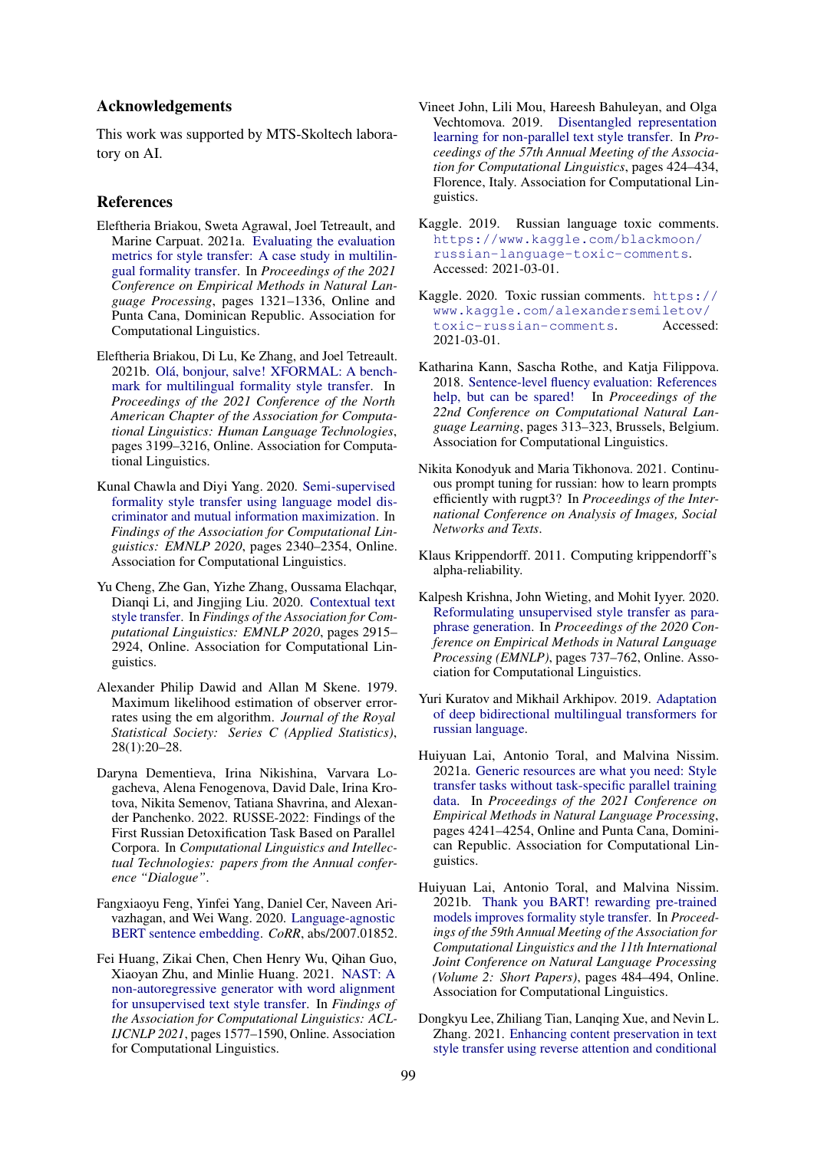### Acknowledgements

This work was supported by MTS-Skoltech laboratory on AI.

### References

- <span id="page-9-1"></span>Eleftheria Briakou, Sweta Agrawal, Joel Tetreault, and Marine Carpuat. 2021a. [Evaluating the evaluation](https://doi.org/10.18653/v1/2021.emnlp-main.100) [metrics for style transfer: A case study in multilin](https://doi.org/10.18653/v1/2021.emnlp-main.100)[gual formality transfer.](https://doi.org/10.18653/v1/2021.emnlp-main.100) In *Proceedings of the 2021 Conference on Empirical Methods in Natural Language Processing*, pages 1321–1336, Online and Punta Cana, Dominican Republic. Association for Computational Linguistics.
- <span id="page-9-9"></span>Eleftheria Briakou, Di Lu, Ke Zhang, and Joel Tetreault. 2021b. [Olá, bonjour, salve! XFORMAL: A bench](https://doi.org/10.18653/v1/2021.naacl-main.256)[mark for multilingual formality style transfer.](https://doi.org/10.18653/v1/2021.naacl-main.256) In *Proceedings of the 2021 Conference of the North American Chapter of the Association for Computational Linguistics: Human Language Technologies*, pages 3199–3216, Online. Association for Computational Linguistics.
- <span id="page-9-8"></span>Kunal Chawla and Diyi Yang. 2020. [Semi-supervised](https://doi.org/10.18653/v1/2020.findings-emnlp.212) [formality style transfer using language model dis](https://doi.org/10.18653/v1/2020.findings-emnlp.212)[criminator and mutual information maximization.](https://doi.org/10.18653/v1/2020.findings-emnlp.212) In *Findings of the Association for Computational Linguistics: EMNLP 2020*, pages 2340–2354, Online. Association for Computational Linguistics.
- <span id="page-9-5"></span>Yu Cheng, Zhe Gan, Yizhe Zhang, Oussama Elachqar, Dianqi Li, and Jingjing Liu. 2020. [Contextual text](https://doi.org/10.18653/v1/2020.findings-emnlp.263) [style transfer.](https://doi.org/10.18653/v1/2020.findings-emnlp.263) In *Findings of the Association for Computational Linguistics: EMNLP 2020*, pages 2915– 2924, Online. Association for Computational Linguistics.
- <span id="page-9-17"></span>Alexander Philip Dawid and Allan M Skene. 1979. Maximum likelihood estimation of observer errorrates using the em algorithm. *Journal of the Royal Statistical Society: Series C (Applied Statistics)*, 28(1):20–28.
- <span id="page-9-10"></span>Daryna Dementieva, Irina Nikishina, Varvara Logacheva, Alena Fenogenova, David Dale, Irina Krotova, Nikita Semenov, Tatiana Shavrina, and Alexander Panchenko. 2022. RUSSE-2022: Findings of the First Russian Detoxification Task Based on Parallel Corpora. In *Computational Linguistics and Intellectual Technologies: papers from the Annual conference "Dialogue"*.
- <span id="page-9-15"></span>Fangxiaoyu Feng, Yinfei Yang, Daniel Cer, Naveen Arivazhagan, and Wei Wang. 2020. [Language-agnostic](http://arxiv.org/abs/2007.01852) [BERT sentence embedding.](http://arxiv.org/abs/2007.01852) *CoRR*, abs/2007.01852.
- <span id="page-9-2"></span>Fei Huang, Zikai Chen, Chen Henry Wu, Qihan Guo, Xiaoyan Zhu, and Minlie Huang. 2021. [NAST: A](https://doi.org/10.18653/v1/2021.findings-acl.138) [non-autoregressive generator with word alignment](https://doi.org/10.18653/v1/2021.findings-acl.138) [for unsupervised text style transfer.](https://doi.org/10.18653/v1/2021.findings-acl.138) In *Findings of the Association for Computational Linguistics: ACL-IJCNLP 2021*, pages 1577–1590, Online. Association for Computational Linguistics.
- <span id="page-9-6"></span>Vineet John, Lili Mou, Hareesh Bahuleyan, and Olga Vechtomova. 2019. [Disentangled representation](https://doi.org/10.18653/v1/P19-1041) [learning for non-parallel text style transfer.](https://doi.org/10.18653/v1/P19-1041) In *Proceedings of the 57th Annual Meeting of the Association for Computational Linguistics*, pages 424–434, Florence, Italy. Association for Computational Linguistics.
- <span id="page-9-11"></span>Kaggle. 2019. Russian language toxic comments. [https://www.kaggle.com/blackmoon/](https://www.kaggle.com/blackmoon/russian-language-toxic-comments) [russian-language-toxic-comments](https://www.kaggle.com/blackmoon/russian-language-toxic-comments). Accessed: 2021-03-01.
- <span id="page-9-12"></span>Kaggle. 2020. Toxic russian comments. [https://](https://www.kaggle.com/alexandersemiletov/toxic-russian-comments) [www.kaggle.com/alexandersemiletov/](https://www.kaggle.com/alexandersemiletov/toxic-russian-comments) [toxic-russian-comments](https://www.kaggle.com/alexandersemiletov/toxic-russian-comments). Accessed: 2021-03-01.
- <span id="page-9-16"></span>Katharina Kann, Sascha Rothe, and Katja Filippova. 2018. [Sentence-level fluency evaluation: References](https://doi.org/10.18653/v1/K18-1031) [help, but can be spared!](https://doi.org/10.18653/v1/K18-1031) In *Proceedings of the 22nd Conference on Computational Natural Language Learning*, pages 313–323, Brussels, Belgium. Association for Computational Linguistics.
- <span id="page-9-14"></span>Nikita Konodyuk and Maria Tikhonova. 2021. Continuous prompt tuning for russian: how to learn prompts efficiently with rugpt3? In *Proceedings of the International Conference on Analysis of Images, Social Networks and Texts*.
- <span id="page-9-18"></span>Klaus Krippendorff. 2011. Computing krippendorff's alpha-reliability.
- <span id="page-9-0"></span>Kalpesh Krishna, John Wieting, and Mohit Iyyer. 2020. [Reformulating unsupervised style transfer as para](https://doi.org/10.18653/v1/2020.emnlp-main.55)[phrase generation.](https://doi.org/10.18653/v1/2020.emnlp-main.55) In *Proceedings of the 2020 Conference on Empirical Methods in Natural Language Processing (EMNLP)*, pages 737–762, Online. Association for Computational Linguistics.
- <span id="page-9-13"></span>Yuri Kuratov and Mikhail Arkhipov. 2019. [Adaptation](http://arxiv.org/abs/1905.07213) [of deep bidirectional multilingual transformers for](http://arxiv.org/abs/1905.07213) [russian language.](http://arxiv.org/abs/1905.07213)
- <span id="page-9-3"></span>Huiyuan Lai, Antonio Toral, and Malvina Nissim. 2021a. [Generic resources are what you need: Style](https://doi.org/10.18653/v1/2021.emnlp-main.349) [transfer tasks without task-specific parallel training](https://doi.org/10.18653/v1/2021.emnlp-main.349) [data.](https://doi.org/10.18653/v1/2021.emnlp-main.349) In *Proceedings of the 2021 Conference on Empirical Methods in Natural Language Processing*, pages 4241–4254, Online and Punta Cana, Dominican Republic. Association for Computational Linguistics.
- <span id="page-9-4"></span>Huiyuan Lai, Antonio Toral, and Malvina Nissim. 2021b. [Thank you BART! rewarding pre-trained](https://doi.org/10.18653/v1/2021.acl-short.62) [models improves formality style transfer.](https://doi.org/10.18653/v1/2021.acl-short.62) In *Proceedings of the 59th Annual Meeting of the Association for Computational Linguistics and the 11th International Joint Conference on Natural Language Processing (Volume 2: Short Papers)*, pages 484–494, Online. Association for Computational Linguistics.
- <span id="page-9-7"></span>Dongkyu Lee, Zhiliang Tian, Lanqing Xue, and Nevin L. Zhang. 2021. [Enhancing content preservation in text](https://doi.org/10.18653/v1/2021.acl-long.8) [style transfer using reverse attention and conditional](https://doi.org/10.18653/v1/2021.acl-long.8)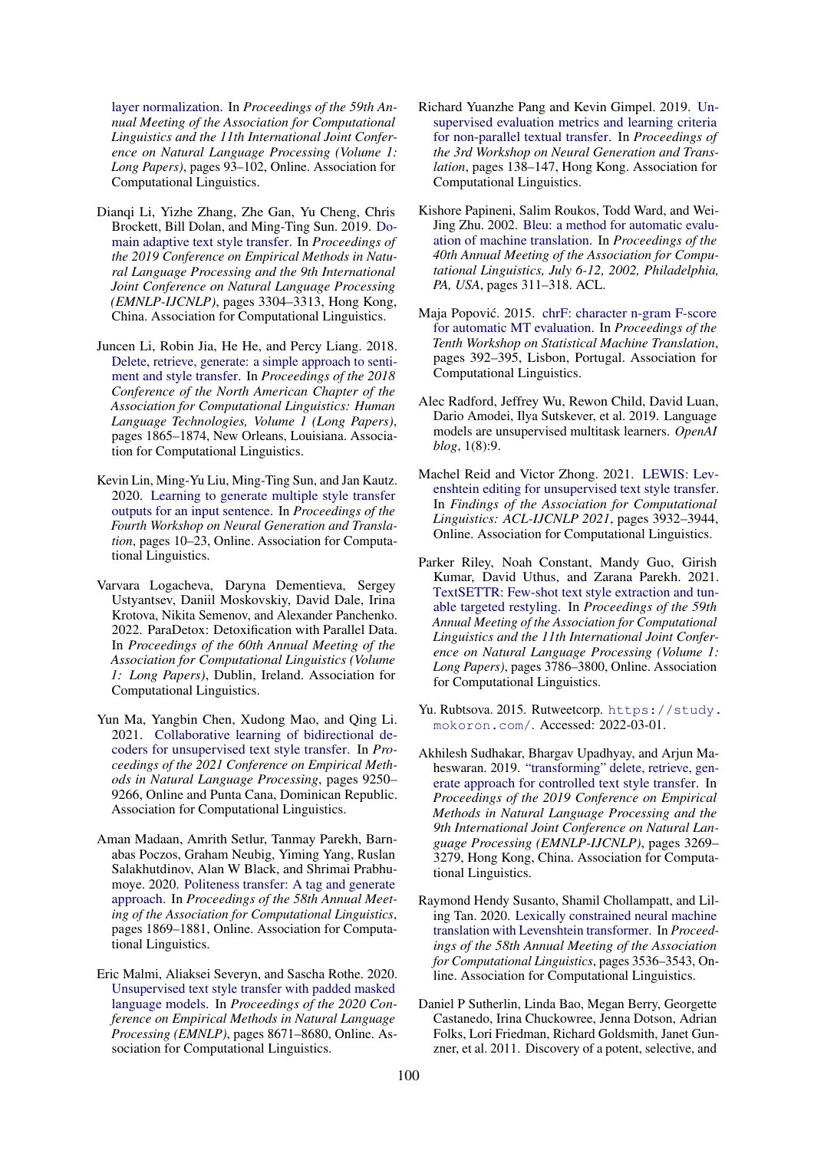[layer normalization.](https://doi.org/10.18653/v1/2021.acl-long.8) In *Proceedings of the 59th Annual Meeting of the Association for Computational Linguistics and the 11th International Joint Conference on Natural Language Processing (Volume 1: Long Papers)*, pages 93–102, Online. Association for Computational Linguistics.

- <span id="page-10-6"></span>Dianqi Li, Yizhe Zhang, Zhe Gan, Yu Cheng, Chris Brockett, Bill Dolan, and Ming-Ting Sun. 2019. [Do](https://doi.org/10.18653/v1/D19-1325)[main adaptive text style transfer.](https://doi.org/10.18653/v1/D19-1325) In *Proceedings of the 2019 Conference on Empirical Methods in Natural Language Processing and the 9th International Joint Conference on Natural Language Processing (EMNLP-IJCNLP)*, pages 3304–3313, Hong Kong, China. Association for Computational Linguistics.
- <span id="page-10-1"></span>Juncen Li, Robin Jia, He He, and Percy Liang. 2018. [Delete, retrieve, generate: a simple approach to senti](https://doi.org/10.18653/v1/N18-1169)[ment and style transfer.](https://doi.org/10.18653/v1/N18-1169) In *Proceedings of the 2018 Conference of the North American Chapter of the Association for Computational Linguistics: Human Language Technologies, Volume 1 (Long Papers)*, pages 1865–1874, New Orleans, Louisiana. Association for Computational Linguistics.
- <span id="page-10-9"></span>Kevin Lin, Ming-Yu Liu, Ming-Ting Sun, and Jan Kautz. 2020. [Learning to generate multiple style transfer](https://doi.org/10.18653/v1/2020.ngt-1.2) [outputs for an input sentence.](https://doi.org/10.18653/v1/2020.ngt-1.2) In *Proceedings of the Fourth Workshop on Neural Generation and Translation*, pages 10–23, Online. Association for Computational Linguistics.
- <span id="page-10-10"></span>Varvara Logacheva, Daryna Dementieva, Sergey Ustyantsev, Daniil Moskovskiy, David Dale, Irina Krotova, Nikita Semenov, and Alexander Panchenko. 2022. ParaDetox: Detoxification with Parallel Data. In *Proceedings of the 60th Annual Meeting of the Association for Computational Linguistics (Volume 1: Long Papers)*, Dublin, Ireland. Association for Computational Linguistics.
- <span id="page-10-8"></span>Yun Ma, Yangbin Chen, Xudong Mao, and Qing Li. 2021. [Collaborative learning of bidirectional de](https://doi.org/10.18653/v1/2021.emnlp-main.729)[coders for unsupervised text style transfer.](https://doi.org/10.18653/v1/2021.emnlp-main.729) In *Proceedings of the 2021 Conference on Empirical Methods in Natural Language Processing*, pages 9250– 9266, Online and Punta Cana, Dominican Republic. Association for Computational Linguistics.
- <span id="page-10-7"></span>Aman Madaan, Amrith Setlur, Tanmay Parekh, Barnabas Poczos, Graham Neubig, Yiming Yang, Ruslan Salakhutdinov, Alan W Black, and Shrimai Prabhumoye. 2020. [Politeness transfer: A tag and generate](https://doi.org/10.18653/v1/2020.acl-main.169) [approach.](https://doi.org/10.18653/v1/2020.acl-main.169) In *Proceedings of the 58th Annual Meeting of the Association for Computational Linguistics*, pages 1869–1881, Online. Association for Computational Linguistics.
- <span id="page-10-3"></span>Eric Malmi, Aliaksei Severyn, and Sascha Rothe. 2020. [Unsupervised text style transfer with padded masked](https://doi.org/10.18653/v1/2020.emnlp-main.699) [language models.](https://doi.org/10.18653/v1/2020.emnlp-main.699) In *Proceedings of the 2020 Conference on Empirical Methods in Natural Language Processing (EMNLP)*, pages 8671–8680, Online. Association for Computational Linguistics.
- <span id="page-10-0"></span>Richard Yuanzhe Pang and Kevin Gimpel. 2019. [Un](https://doi.org/10.18653/v1/D19-5614)[supervised evaluation metrics and learning criteria](https://doi.org/10.18653/v1/D19-5614) [for non-parallel textual transfer.](https://doi.org/10.18653/v1/D19-5614) In *Proceedings of the 3rd Workshop on Neural Generation and Translation*, pages 138–147, Hong Kong. Association for Computational Linguistics.
- <span id="page-10-15"></span>Kishore Papineni, Salim Roukos, Todd Ward, and Wei-Jing Zhu. 2002. [Bleu: a method for automatic evalu](https://doi.org/10.3115/1073083.1073135)[ation of machine translation.](https://doi.org/10.3115/1073083.1073135) In *Proceedings of the 40th Annual Meeting of the Association for Computational Linguistics, July 6-12, 2002, Philadelphia, PA, USA*, pages 311–318. ACL.
- <span id="page-10-14"></span>Maja Popović. 2015. [chrF: character n-gram F-score](https://doi.org/10.18653/v1/W15-3049) [for automatic MT evaluation.](https://doi.org/10.18653/v1/W15-3049) In *Proceedings of the Tenth Workshop on Statistical Machine Translation*, pages 392–395, Lisbon, Portugal. Association for Computational Linguistics.
- <span id="page-10-5"></span>Alec Radford, Jeffrey Wu, Rewon Child, David Luan, Dario Amodei, Ilya Sutskever, et al. 2019. Language models are unsupervised multitask learners. *OpenAI blog*, 1(8):9.
- <span id="page-10-12"></span>Machel Reid and Victor Zhong. 2021. [LEWIS: Lev](https://doi.org/10.18653/v1/2021.findings-acl.344)[enshtein editing for unsupervised text style transfer.](https://doi.org/10.18653/v1/2021.findings-acl.344) In *Findings of the Association for Computational Linguistics: ACL-IJCNLP 2021*, pages 3932–3944, Online. Association for Computational Linguistics.
- <span id="page-10-4"></span>Parker Riley, Noah Constant, Mandy Guo, Girish Kumar, David Uthus, and Zarana Parekh. 2021. [TextSETTR: Few-shot text style extraction and tun](https://doi.org/10.18653/v1/2021.acl-long.293)[able targeted restyling.](https://doi.org/10.18653/v1/2021.acl-long.293) In *Proceedings of the 59th Annual Meeting of the Association for Computational Linguistics and the 11th International Joint Conference on Natural Language Processing (Volume 1: Long Papers)*, pages 3786–3800, Online. Association for Computational Linguistics.
- <span id="page-10-11"></span>Yu. Rubtsova. 2015. Rutweetcorp. [https://study.](https://study.mokoron.com/) [mokoron.com/](https://study.mokoron.com/). Accessed: 2022-03-01.
- <span id="page-10-2"></span>Akhilesh Sudhakar, Bhargav Upadhyay, and Arjun Maheswaran. 2019. ["transforming" delete, retrieve, gen](https://doi.org/10.18653/v1/D19-1322)[erate approach for controlled text style transfer.](https://doi.org/10.18653/v1/D19-1322) In *Proceedings of the 2019 Conference on Empirical Methods in Natural Language Processing and the 9th International Joint Conference on Natural Language Processing (EMNLP-IJCNLP)*, pages 3269– 3279, Hong Kong, China. Association for Computational Linguistics.
- <span id="page-10-13"></span>Raymond Hendy Susanto, Shamil Chollampatt, and Liling Tan. 2020. [Lexically constrained neural machine](https://doi.org/10.18653/v1/2020.acl-main.325) [translation with Levenshtein transformer.](https://doi.org/10.18653/v1/2020.acl-main.325) In *Proceedings of the 58th Annual Meeting of the Association for Computational Linguistics*, pages 3536–3543, Online. Association for Computational Linguistics.
- <span id="page-10-16"></span>Daniel P Sutherlin, Linda Bao, Megan Berry, Georgette Castanedo, Irina Chuckowree, Jenna Dotson, Adrian Folks, Lori Friedman, Richard Goldsmith, Janet Gunzner, et al. 2011. Discovery of a potent, selective, and